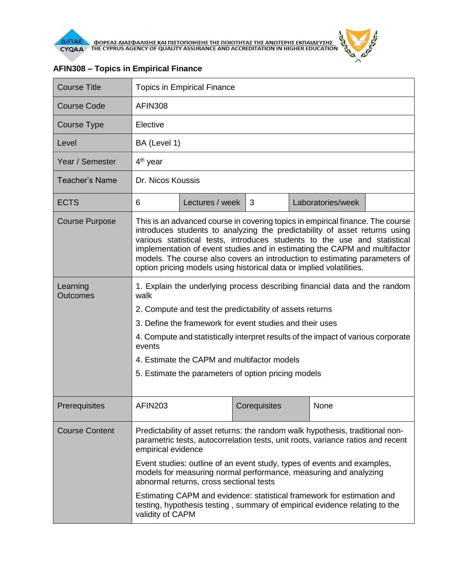

 $\lambda$ 

| <b>Course Title</b>         | <b>Topics in Empirical Finance</b>                                                                                                                                                                                                                                                                                                                                                                                                                                            |                 |              |  |                   |  |  |
|-----------------------------|-------------------------------------------------------------------------------------------------------------------------------------------------------------------------------------------------------------------------------------------------------------------------------------------------------------------------------------------------------------------------------------------------------------------------------------------------------------------------------|-----------------|--------------|--|-------------------|--|--|
| <b>Course Code</b>          | <b>AFIN308</b>                                                                                                                                                                                                                                                                                                                                                                                                                                                                |                 |              |  |                   |  |  |
| <b>Course Type</b>          | Elective                                                                                                                                                                                                                                                                                                                                                                                                                                                                      |                 |              |  |                   |  |  |
| Level                       | BA (Level 1)                                                                                                                                                                                                                                                                                                                                                                                                                                                                  |                 |              |  |                   |  |  |
| Year / Semester             | $4th$ year                                                                                                                                                                                                                                                                                                                                                                                                                                                                    |                 |              |  |                   |  |  |
| Teacher's Name              | Dr. Nicos Koussis                                                                                                                                                                                                                                                                                                                                                                                                                                                             |                 |              |  |                   |  |  |
| <b>ECTS</b>                 | 6                                                                                                                                                                                                                                                                                                                                                                                                                                                                             | Lectures / week | 3            |  | Laboratories/week |  |  |
| <b>Course Purpose</b>       | This is an advanced course in covering topics in empirical finance. The course<br>introduces students to analyzing the predictability of asset returns using<br>various statistical tests, introduces students to the use and statistical<br>implementation of event studies and in estimating the CAPM and multifactor<br>models. The course also covers an introduction to estimating parameters of<br>option pricing models using historical data or implied volatilities. |                 |              |  |                   |  |  |
| Learning<br><b>Outcomes</b> | 1. Explain the underlying process describing financial data and the random<br>walk                                                                                                                                                                                                                                                                                                                                                                                            |                 |              |  |                   |  |  |
|                             | 2. Compute and test the predictability of assets returns                                                                                                                                                                                                                                                                                                                                                                                                                      |                 |              |  |                   |  |  |
|                             | 3. Define the framework for event studies and their uses                                                                                                                                                                                                                                                                                                                                                                                                                      |                 |              |  |                   |  |  |
|                             | 4. Compute and statistically interpret results of the impact of various corporate<br>events                                                                                                                                                                                                                                                                                                                                                                                   |                 |              |  |                   |  |  |
|                             | 4. Estimate the CAPM and multifactor models                                                                                                                                                                                                                                                                                                                                                                                                                                   |                 |              |  |                   |  |  |
|                             | 5. Estimate the parameters of option pricing models                                                                                                                                                                                                                                                                                                                                                                                                                           |                 |              |  |                   |  |  |
| Prerequisites               | <b>AFIN203</b>                                                                                                                                                                                                                                                                                                                                                                                                                                                                |                 | Corequisites |  | None              |  |  |
| <b>Course Content</b>       | Predictability of asset returns: the random walk hypothesis, traditional non-<br>parametric tests, autocorrelation tests, unit roots, variance ratios and recent<br>empirical evidence                                                                                                                                                                                                                                                                                        |                 |              |  |                   |  |  |
|                             | Event studies: outline of an event study, types of events and examples,<br>models for measuring normal performance, measuring and analyzing<br>abnormal returns, cross sectional tests<br>Estimating CAPM and evidence: statistical framework for estimation and<br>testing, hypothesis testing, summary of empirical evidence relating to the<br>validity of CAPM                                                                                                            |                 |              |  |                   |  |  |
|                             |                                                                                                                                                                                                                                                                                                                                                                                                                                                                               |                 |              |  |                   |  |  |

## **AFIN308 – Topics in Empirical Finance**